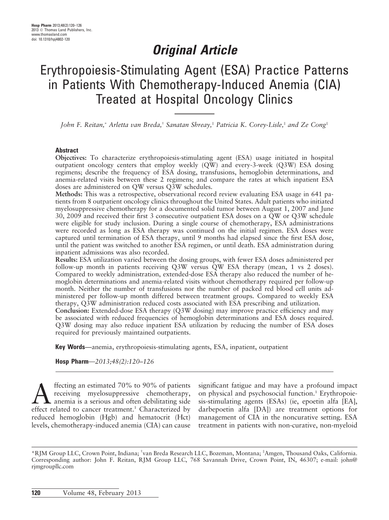## Original Article

# Erythropoiesis-Stimulating Agent (ESA) Practice Patterns in Patients With Chemotherapy-Induced Anemia (CIA) Treated at Hospital Oncology Clinics

John F. Reitan,\* Arletta van Breda,† Sanatan Shreay, ${}^*$  Patricia K. Corey-Lisle, ${}^*$  and Ze Cong ${}^*$ 

#### Abstract

Objectives: To characterize erythropoiesis-stimulating agent (ESA) usage initiated in hospital outpatient oncology centers that employ weekly (QW) and every-3-week (Q3W) ESA dosing regimens; describe the frequency of ESA dosing, transfusions, hemoglobin determinations, and anemia-related visits between these 2 regimens; and compare the rates at which inpatient ESA doses are administered on QW versus Q3W schedules.

Methods: This was a retrospective, observational record review evaluating ESA usage in 641 patients from 8 outpatient oncology clinics throughout the United States. Adult patients who initiated myelosuppressive chemotherapy for a documented solid tumor between August 1, 2007 and June 30, 2009 and received their first 3 consecutive outpatient ESA doses on a QW or Q3W schedule were eligible for study inclusion. During a single course of chemotherapy, ESA administrations were recorded as long as ESA therapy was continued on the initial regimen. ESA doses were captured until termination of ESA therapy, until 9 months had elapsed since the first ESA dose, until the patient was switched to another ESA regimen, or until death. ESA administration during inpatient admissions was also recorded.

Results: ESA utilization varied between the dosing groups, with fewer ESA doses administered per follow-up month in patients receiving Q3W versus QW ESA therapy (mean, 1 vs 2 doses). Compared to weekly administration, extended-dose ESA therapy also reduced the number of hemoglobin determinations and anemia-related visits without chemotherapy required per follow-up month. Neither the number of transfusions nor the number of packed red blood cell units administered per follow-up month differed between treatment groups. Compared to weekly ESA therapy, Q3W administration reduced costs associated with ESA prescribing and utilization. Conclusion: Extended-dose ESA therapy (Q3W dosing) may improve practice efficiency and may

be associated with reduced frequencies of hemoglobin determinations and ESA doses required. Q3W dosing may also reduce inpatient ESA utilization by reducing the number of ESA doses required for previously maintained outpatients.

Key Words—anemia, erythropoiesis-stimulating agents, ESA, inpatient, outpatient

Hosp Pharm—2013;48(2):120–126

ffecting an estimated  $70\%$  to  $90\%$  of patients receiving myelosuppressive chemotherapy, anemia is a serious and often debilitating side effect related to cancer treatment.<sup>1</sup> Characterized by reduced hemoglobin (Hgb) and hematocrit (Hct) levels, chemotherapy-induced anemia (CIA) can cause

significant fatigue and may have a profound impact on physical and psychosocial function.<sup>1</sup> Erythropoiesis-stimulating agents (ESAs) (ie, epoetin alfa [EA], darbepoetin alfa [DA]) are treatment options for management of CIA in the noncurative setting. ESA treatment in patients with non-curative, non-myeloid

<sup>\*</sup>RJM Group LLC, Crown Point, Indiana; † van Breda Research LLC, Bozeman, Montana; ‡ Amgen, Thousand Oaks, California. Corresponding author: John F. Reitan, RJM Group LLC, 768 Savannah Drive, Crown Point, IN, 46307; e-mail: john@ rjmgroupllc.com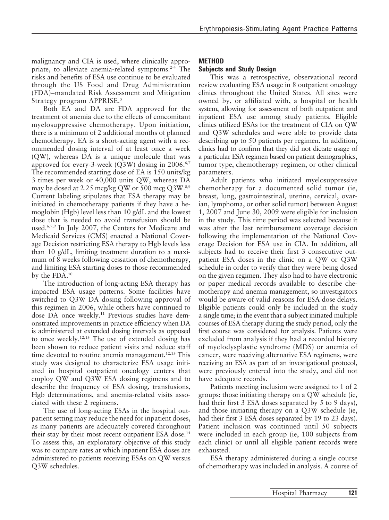malignancy and CIA is used, where clinically appropriate, to alleviate anemia-related symptoms.<sup>2-4</sup> The risks and benefits of ESA use continue to be evaluated through the US Food and Drug Administration (FDA)–mandated Risk Assessment and Mitigation Strategy program APPRISE.<sup>5</sup>

Both EA and DA are FDA approved for the treatment of anemia due to the effects of concomitant myelosuppressive chemotherapy. Upon initiation, there is a minimum of 2 additional months of planned chemotherapy. EA is a short-acting agent with a recommended dosing interval of at least once a week (QW), whereas DA is a unique molecule that was approved for every-3-week  $(Q3W)$  dosing in 2006.<sup>6,7</sup> The recommended starting dose of EA is 150 units/kg 3 times per week or 40,000 units QW, whereas DA may be dosed at 2.25 mcg/kg QW or 500 mcg Q3W.8,9 Current labeling stipulates that ESA therapy may be initiated in chemotherapy patients if they have a hemoglobin (Hgb) level less than 10 g/dL and the lowest dose that is needed to avoid transfusion should be used.<sup>6,7,9</sup> In July 2007, the Centers for Medicare and Medicaid Services (CMS) enacted a National Coverage Decision restricting ESA therapy to Hgb levels less than 10 g/dL, limiting treatment duration to a maximum of 8 weeks following cessation of chemotherapy, and limiting ESA starting doses to those recommended by the FDA.10

The introduction of long-acting ESA therapy has impacted ESA usage patterns. Some facilities have switched to Q3W DA dosing following approval of this regimen in 2006, while others have continued to dose DA once weekly.<sup>11</sup> Previous studies have demonstrated improvements in practice efficiency when DA is administered at extended dosing intervals as opposed to once weekly.<sup>12,13</sup> The use of extended dosing has been shown to reduce patient visits and reduce staff time devoted to routine anemia management.<sup>12,13</sup> This study was designed to characterize ESA usage initiated in hospital outpatient oncology centers that employ QW and Q3W ESA dosing regimens and to describe the frequency of ESA dosing, transfusions, Hgb determinations, and anemia-related visits associated with these 2 regimens.

The use of long-acting ESAs in the hospital outpatient setting may reduce the need for inpatient doses, as many patients are adequately covered throughout their stay by their most recent outpatient ESA dose.<sup>14</sup> To assess this, an exploratory objective of this study was to compare rates at which inpatient ESA doses are administered to patients receiving ESAs on QW versus Q3W schedules.

## **METHOD**

### Subjects and Study Design

This was a retrospective, observational record review evaluating ESA usage in 8 outpatient oncology clinics throughout the United States. All sites were owned by, or affiliated with, a hospital or health system, allowing for assessment of both outpatient and inpatient ESA use among study patients. Eligible clinics utilized ESAs for the treatment of CIA on QW and Q3W schedules and were able to provide data describing up to 50 patients per regimen. In addition, clinics had to confirm that they did not dictate usage of a particular ESA regimen based on patient demographics, tumor type, chemotherapy regimen, or other clinical parameters.

Adult patients who initiated myelosuppressive chemotherapy for a documented solid tumor (ie, breast, lung, gastrointestinal, uterine, cervical, ovarian, lymphoma, or other solid tumor) between August 1, 2007 and June 30, 2009 were eligible for inclusion in the study. This time period was selected because it was after the last reimbursement coverage decision following the implementation of the National Coverage Decision for ESA use in CIA. In addition, all subjects had to receive their first 3 consecutive outpatient ESA doses in the clinic on a QW or Q3W schedule in order to verify that they were being dosed on the given regimen. They also had to have electronic or paper medical records available to describe chemotherapy and anemia management, so investigators would be aware of valid reasons for ESA dose delays. Eligible patients could only be included in the study a single time; in the event that a subject initiated multiple courses of ESA therapy during the study period, only the first course was considered for analysis. Patients were excluded from analysis if they had a recorded history of myelodysplastic syndrome (MDS) or anemia of cancer, were receiving alternative ESA regimens, were receiving an ESA as part of an investigational protocol, were previously entered into the study, and did not have adequate records.

Patients meeting inclusion were assigned to 1 of 2 groups: those initiating therapy on a QW schedule (ie, had their first 3 ESA doses separated by 5 to 9 days), and those initiating therapy on a Q3W schedule (ie, had their first 3 ESA doses separated by 19 to 23 days). Patient inclusion was continued until 50 subjects were included in each group (ie, 100 subjects from each clinic) or until all eligible patient records were exhausted.

ESA therapy administered during a single course of chemotherapy was included in analysis. A course of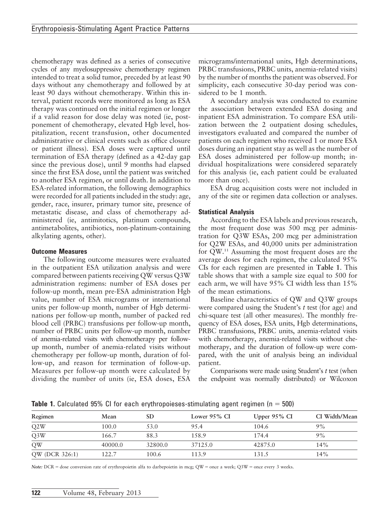chemotherapy was defined as a series of consecutive cycles of any myelosuppressive chemotherapy regimen intended to treat a solid tumor, preceded by at least 90 days without any chemotherapy and followed by at least 90 days without chemotherapy. Within this interval, patient records were monitored as long as ESA therapy was continued on the initial regimen or longer if a valid reason for dose delay was noted (ie, postponement of chemotherapy, elevated Hgb level, hospitalization, recent transfusion, other documented administrative or clinical events such as office closure or patient illness). ESA doses were captured until termination of ESA therapy (defined as a 42-day gap since the previous dose), until 9 months had elapsed since the first ESA dose, until the patient was switched to another ESA regimen, or until death. In addition to ESA-related information, the following demographics were recorded for all patients included in the study: age, gender, race, insurer, primary tumor site, presence of metastatic disease, and class of chemotherapy administered (ie, antimitotics, platinum compounds, antimetabolites, antibiotics, non-platinum-containing alkylating agents, other).

#### Outcome Measures

The following outcome measures were evaluated in the outpatient ESA utilization analysis and were compared between patients receiving QW versus Q3W administration regimens: number of ESA doses per follow-up month, mean pre-ESA administration Hgb value, number of ESA micrograms or international units per follow-up month, number of Hgb determinations per follow-up month, number of packed red blood cell (PRBC) transfusions per follow-up month, number of PRBC units per follow-up month, number of anemia-related visits with chemotherapy per followup month, number of anemia-related visits without chemotherapy per follow-up month, duration of follow-up, and reason for termination of follow-up. Measures per follow-up month were calculated by dividing the number of units (ie, ESA doses, ESA

micrograms/international units, Hgb determinations, PRBC transfusions, PRBC units, anemia-related visits) by the number of months the patient was observed. For simplicity, each consecutive 30-day period was considered to be 1 month.

A secondary analysis was conducted to examine the association between extended ESA dosing and inpatient ESA administration. To compare ESA utilization between the 2 outpatient dosing schedules, investigators evaluated and compared the number of patients on each regimen who received 1 or more ESA doses during an inpatient stay as well as the number of ESA doses administered per follow-up month; individual hospitalizations were considered separately for this analysis (ie, each patient could be evaluated more than once).

ESA drug acquisition costs were not included in any of the site or regimen data collection or analyses.

## Statistical Analysis

According to the ESA labels and previous research, the most frequent dose was 500 mcg per administration for Q3W ESAs, 200 mcg per administration for Q2W ESAs, and 40,000 units per administration for QW.11 Assuming the most frequent doses are the average doses for each regimen, the calculated 95% CIs for each regimen are presented in Table 1. This table shows that with a sample size equal to 500 for each arm, we will have 95% CI width less than 15% of the mean estimations.

Baseline characteristics of QW and Q3W groups were compared using the Student's t test (for age) and chi-square test (all other measures). The monthly frequency of ESA doses, ESA units, Hgb determinations, PRBC transfusions, PRBC units, anemia-related visits with chemotherapy, anemia-related visits without chemotherapy, and the duration of follow-up were compared, with the unit of analysis being an individual patient.

Comparisons were made using Student's t test (when the endpoint was normally distributed) or Wilcoxon

**Table 1.** Calculated 95% CI for each erythropoieses-stimulating agent regimen ( $n = 500$ )

| Regimen        | Mean    | SD      | Lower $95\%$ CI | Upper $95\%$ CI | CI Width/Mean |
|----------------|---------|---------|-----------------|-----------------|---------------|
| Q2W            | 100.0   | 53.0    | 95.4            | 104.6           | 9%            |
| Q3W            | 166.7   | 88.3    | 158.9           | 174.4           | 9%            |
| QW             | 40000.0 | 32800.0 | 3712.5.0        | 42875.0         | 14%           |
| QW (DCR 326:1) | 122.7   | 100.6   | 113.9           | 131.5           | 14%           |

Note:  $DCR =$  dose conversion rate of erythropoietin alfa to darbepoietin in mcg;  $QW =$  once a week;  $Q3W =$  once every 3 weeks.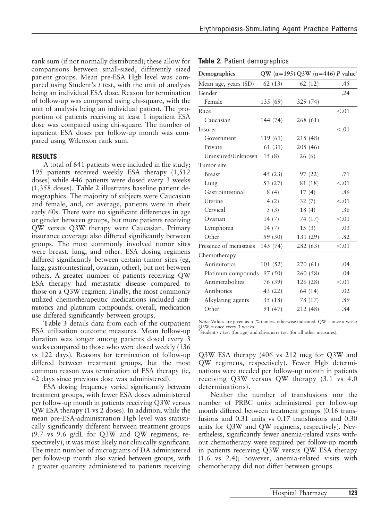Table 2. Patient demographics

rank sum (if not normally distributed); these allow for comparisons between small-sized, differently sized patient groups. Mean pre-ESA Hgb level was compared using Student's  $t$  test, with the unit of analysis being an individual ESA dose. Reason for termination of follow-up was compared using chi-square, with the unit of analysis being an individual patient. The proportion of patients receiving at least 1 inpatient ESA dose was compared using chi-square. The number of inpatient ESA doses per follow-up month was compared using Wilcoxon rank sum.

#### RESULTS

A total of 641 patients were included in the study; 195 patients received weekly ESA therapy (1,512 doses) while 446 patients were dosed every 3 weeks (1,358 doses). Table 2 illustrates baseline patient demographics. The majority of subjects were Caucasian and female, and, on average, patients were in their early 60s. There were no significant differences in age or gender between groups, but more patients receiving QW versus Q3W therapy were Caucasian. Primary insurance coverage also differed significantly between groups. The most commonly involved tumor sites were breast, lung, and other. ESA dosing regimens differed significantly between certain tumor sites (eg, lung, gastrointestinal, ovarian, other), but not between others. A greater number of patients receiving QW ESA therapy had metastatic disease compared to those on a Q3W regimen. Finally, the most commonly utilized chemotherapeutic medications included antimitotics and platinum compounds; overall, medication use differed significantly between groups.

Table 3 details data from each of the outpatient ESA utilization outcome measures. Mean follow-up duration was longer among patients dosed every 3 weeks compared to those who were dosed weekly (136 vs 122 days). Reasons for termination of follow-up differed between treatment groups, but the most common reason was termination of ESA therapy (ie, 42 days since previous dose was administered).

ESA dosing frequency varied significantly between treatment groups, with fewer ESA doses administered per follow-up month in patients receiving Q3W versus QW ESA therapy (1 vs 2 doses). In addition, while the mean pre-ESA-administration Hgb level was statistically significantly different between treatment groups (9.7 vs 9.6 g/dL for Q3W and QW regimens, respectively), it was most likely not clinically significant. The mean number of micrograms of DA administered per follow-up month also varied between groups, with a greater quantity administered to patients receiving

| Demographics           |          | QW (n=195) Q3W (n=446) P value <sup>a</sup> |        |
|------------------------|----------|---------------------------------------------|--------|
| Mean age, years (SD)   | 62(13)   | 62(12)                                      | .45    |
| Gender                 |          |                                             | .24    |
| Female                 | 135 (69) | 329(74)                                     |        |
| Race                   |          |                                             | < 0.01 |
| Caucasian              | 144 (74) | 268 (61)                                    |        |
| Insurer                |          |                                             | < .01  |
| Government             | 119 (61) | 215 (48)                                    |        |
| Private                | 61 (31)  | 205 (46)                                    |        |
| Uninsured/Unknown      | 15(8)    | 26(6)                                       |        |
| Tumor site             |          |                                             |        |
| <b>Breast</b>          | 45(23)   | 97(22)                                      | .71    |
| Lung                   | 53 (27)  | 81 (18)                                     | < 0.01 |
| Gastrointestinal       | 8(4)     | 17(4)                                       | .86    |
| Uterine                | 4(2)     | 32(7)                                       | < 0.01 |
| Cervical               | 5(3)     | 18(4)                                       | .36    |
| Ovarian                | 14(7)    | 74 (17)                                     | < 0.01 |
| Lymphoma               | 14(7)    | 15(3)                                       | .03    |
| Other                  | 59 (30)  | 131 (29)                                    | .82    |
| Presence of metastasis | 145 (74) | 282 (63)                                    | < 0.01 |
| Chemotherapy           |          |                                             |        |
| Antimitotics           | 101(52)  | 270 (61)                                    | .04    |
| Platinum compounds     | 97 (50)  | 260 (58)                                    | .04    |
| Antimetabolites        | 76 (39)  | 126 (28)                                    | < 0.01 |
| Antibiotics            | 43 (22)  | 64 (14)                                     | .02    |
| Alkylating agents      | 35(18)   | 78 (17)                                     | .89    |
| Other                  | 91 (47)  | 212 (48)                                    | .84    |

Note: Values are given as n (%) unless otherwise indicated.  $QW =$  once a week;  $\text{Q3W} = \text{once every 3 weeks.}$ <br><sup>a</sup>Student's *t* test (for age) and chi-square test (for all other measures).

Q3W ESA therapy (406 vs 212 mcg for Q3W and QW regimens, respectively). Fewer Hgb determinations were needed per follow-up month in patients receiving Q3W versus QW therapy (3.1 vs 4.0 determinations).

Neither the number of transfusions nor the number of PRBC units administered per follow-up month differed between treatment groups (0.16 transfusions and 0.31 units vs 0.17 transfusions and 0.30 units for Q3W and QW regimens, respectively). Nevertheless, significantly fewer anemia-related visits without chemotherapy were required per follow-up month in patients receiving Q3W versus QW ESA therapy (1.6 vs 2.4); however, anemia-related visits with chemotherapy did not differ between groups.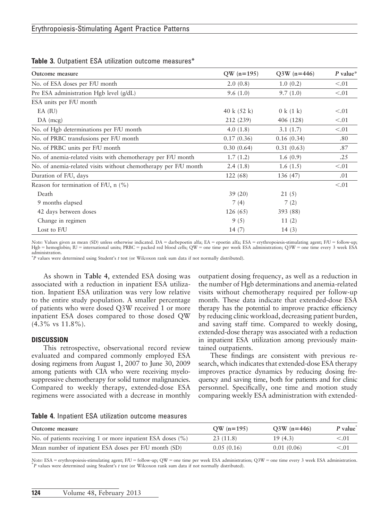| Outcome measure                                                 | $QW (n=195)$          | $Q3W (n=446)$ | $P$ value* |
|-----------------------------------------------------------------|-----------------------|---------------|------------|
| No. of ESA doses per F/U month                                  | 2.0(0.8)              | 1.0(0.2)      | < 0.01     |
| Pre ESA administration Hgb level (g/dL)                         | 9.6(1.0)              | 9.7(1.0)      | < 0.01     |
| ESA units per F/U month                                         |                       |               |            |
| $EA$ (IU)                                                       | 40 k $(52 \text{ k})$ | 0 k (1 k)     | < 0.01     |
| $DA$ (mcg)                                                      | 212 (239)             | 406 (128)     | < 0.01     |
| No. of Hgb determinations per F/U month                         | 4.0 $(1.8)$           | 3.1(1.7)      | < 0.01     |
| No. of PRBC transfusions per F/U month                          | 0.17(0.36)            | 0.16(0.34)    | .80        |
| No. of PRBC units per F/U month                                 | 0.30(0.64)            | 0.31(0.63)    | .87        |
| No. of anemia-related visits with chemotherapy per F/U month    | 1.7(1.2)              | 1.6(0.9)      | .25        |
| No. of anemia-related visits without chemotherapy per F/U month | 2.4(1.8)              | 1.6(1.5)      | < 0.01     |
| Duration of F/U, days                                           | 122(68)               | 136 (47)      | .01        |
| Reason for termination of F/U, n $(\% )$                        |                       |               | < 0.01     |
| Death                                                           | 39(20)                | 21(5)         |            |
| 9 months elapsed                                                | 7(4)                  | 7(2)          |            |
| 42 days between doses                                           | 126(65)               | 393 (88)      |            |
| Change in regimen                                               | 9(5)                  | 11(2)         |            |
| Lost to F/U                                                     | 14(7)                 | 14(3)         |            |

#### Table 3. Outpatient ESA utilization outcome measures\*

Note: Values given as mean (SD) unless otherwise indicated. DA = darbepoetin alfa; EA = epoetin alfa; ESA = erythropoiesis-stimulating agent; F/U = follow-up; Hgb = hemoglobin; IU = international units; PRBC = packed red blood cells; QW = one time per week ESA administration; Q3W = one time every 3 week ESA administration.

p P values were determined using Student's t test (or Wilcoxon rank sum data if not normally distributed).

As shown in Table 4, extended ESA dosing was associated with a reduction in inpatient ESA utilization. Inpatient ESA utilization was very low relative to the entire study population. A smaller percentage of patients who were dosed Q3W received 1 or more inpatient ESA doses compared to those dosed QW  $(4.3\% \text{ vs } 11.8\%).$ 

#### **DISCUSSION**

This retrospective, observational record review evaluated and compared commonly employed ESA dosing regimens from August 1, 2007 to June 30, 2009 among patients with CIA who were receiving myelosuppressive chemotherapy for solid tumor malignancies. Compared to weekly therapy, extended-dose ESA regimens were associated with a decrease in monthly outpatient dosing frequency, as well as a reduction in the number of Hgb determinations and anemia-related visits without chemotherapy required per follow-up month. These data indicate that extended-dose ESA therapy has the potential to improve practice efficiency by reducing clinic workload, decreasing patient burden, and saving staff time. Compared to weekly dosing, extended-dose therapy was associated with a reduction in inpatient ESA utilization among previously maintained outpatients.

These findings are consistent with previous research, which indicates that extended-dose ESA therapy improves practice dynamics by reducing dosing frequency and saving time, both for patients and for clinic personnel. Specifically, one time and motion study comparing weekly ESA administration with extended-

Table 4. Inpatient ESA utilization outcome measures

| Outcome measure                                                 | $QW (n=195)$ | $Q3W (n=446)$ | $P$ value $\degree$ |
|-----------------------------------------------------------------|--------------|---------------|---------------------|
| No. of patients receiving 1 or more inpatient ESA doses $(\% )$ | 23 (11.8)    | 19(4.3)       | < 0.01              |
| Mean number of inpatient ESA doses per F/U month (SD)           | 0.05(0.16)   | 0.01(0.06)    | < 0.01              |

Note: ESA = erythropoiesis-stimulating agent; F/U = follow-up; QW = one time per week ESA administration; Q3W = one time every 3 week ESA administration.  ${}^kP$  values were determined using Student's t test (or Wilcoxon rank sum data if not normally distributed).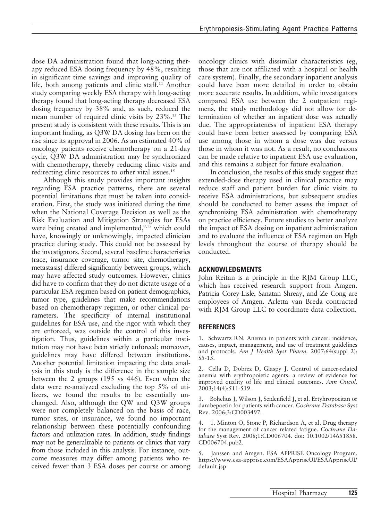dose DA administration found that long-acting therapy reduced ESA dosing frequency by 48%, resulting in significant time savings and improving quality of life, both among patients and clinic staff.<sup>11</sup> Another study comparing weekly ESA therapy with long-acting therapy found that long-acting therapy decreased ESA dosing frequency by 38% and, as such, reduced the mean number of required clinic visits by 23%.13 The present study is consistent with these results. This is an important finding, as Q3W DA dosing has been on the rise since its approval in 2006. As an estimated 40% of oncology patients receive chemotherapy on a 21-day cycle, Q3W DA administration may be synchronized with chemotherapy, thereby reducing clinic visits and redirecting clinic resources to other vital issues.<sup>15</sup>

Although this study provides important insights regarding ESA practice patterns, there are several potential limitations that must be taken into consideration. First, the study was initiated during the time when the National Coverage Decision as well as the Risk Evaluation and Mitigation Strategies for ESAs were being created and implemented,<sup>9,15</sup> which could have, knowingly or unknowingly, impacted clinician practice during study. This could not be assessed by the investigators. Second, several baseline characteristics (race, insurance coverage, tumor site, chemotherapy, metastasis) differed significantly between groups, which may have affected study outcomes. However, clinics did have to confirm that they do not dictate usage of a particular ESA regimen based on patient demographics, tumor type, guidelines that make recommendations based on chemotherapy regimen, or other clinical parameters. The specificity of internal institutional guidelines for ESA use, and the rigor with which they are enforced, was outside the control of this investigation. Thus, guidelines within a particular institution may not have been strictly enforced; moreover, guidelines may have differed between institutions. Another potential limitation impacting the data analysis in this study is the difference in the sample size between the 2 groups (195 vs 446). Even when the data were re-analyzed excluding the top 5% of utilizers, we found the results to be essentially unchanged. Also, although the QW and Q3W groups were not completely balanced on the basis of race, tumor sites, or insurance, we found no important relationship between these potentially confounding factors and utilization rates. In addition, study findings may not be generalizable to patients or clinics that vary from those included in this analysis. For instance, outcome measures may differ among patients who received fewer than 3 ESA doses per course or among oncology clinics with dissimilar characteristics (eg, those that are not affiliated with a hospital or health care system). Finally, the secondary inpatient analysis could have been more detailed in order to obtain more accurate results. In addition, while investigators compared ESA use between the 2 outpatient regimens, the study methodology did not allow for determination of whether an inpatient dose was actually due. The appropriateness of inpatient ESA therapy could have been better assessed by comparing ESA use among those in whom a dose was due versus those in whom it was not. As a result, no conclusions can be made relative to inpatient ESA use evaluation, and this remains a subject for future evaluation.

In conclusion, the results of this study suggest that extended-dose therapy used in clinical practice may reduce staff and patient burden for clinic visits to receive ESA administrations, but subsequent studies should be conducted to better assess the impact of synchronizing ESA administration with chemotherapy on practice efficiency. Future studies to better analyze the impact of ESA dosing on inpatient administration and to evaluate the influence of ESA regimen on Hgb levels throughout the course of therapy should be conducted.

## ACKNOWLEDGMENTS

John Reitan is a principle in the RJM Group LLC, which has received research support from Amgen. Patricia Corey-Lisle, Sanatan Shreay, and Ze Cong are employees of Amgen. Arletta van Breda contracted with RJM Group LLC to coordinate data collection.

## REFERENCES

1. Schwartz RN. Anemia in patients with cancer: incidence, causes, impact, management, and use of treatment guidelines and protocols. Am J Health Syst Pharm. 2007;64(suppl 2): S5-13.

2. Cella D, Dobrez D, Glaspy J. Control of cancer-related anemia with erythropoietic agents: a review of evidence for improved quality of life and clinical outcomes. Ann Oncol. 2003;14(4):511-519.

3. Bohelius J, Wilson J, Seidenfield J, et al. Ertyhropoeitan or darabepoetin for patients with cancer. Cochrane Database Syst Rev. 2006;3:CD003497.

4. 1. Minton O, Stone P, Richardson A, et al. Drug therapy for the management of cancer related fatigue. Cochrane Database Syst Rev. 2008;1:CD006704. doi: 10.1002/14651858. CD006704.pub2.

5. Janssen and Amgen. ESA APPRISE Oncology Program. https://www.esa-apprise.com/ESAAppriseUI/ESAAppriseUI/ default.jsp